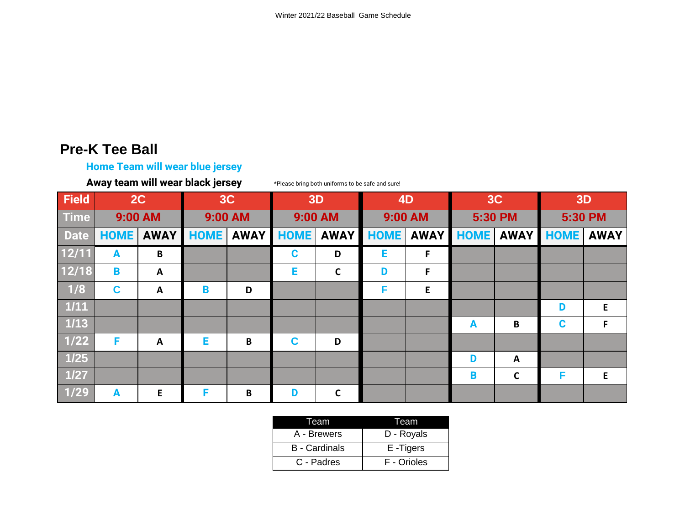### **Pre-K Tee Ball**

#### **Home Team will wear blue jersey**

**Away team will wear black jersey**

\*Please bring both uniforms to be safe and sure!

| <b>Field</b>    | 2C           |              | 3C          |             | 3D          |              | 4D          |             | 3C          |              | <b>3D</b>   |             |
|-----------------|--------------|--------------|-------------|-------------|-------------|--------------|-------------|-------------|-------------|--------------|-------------|-------------|
| <b>Time</b>     | 9:00 AM      |              | 9:00 AM     |             | 9:00 AM     |              | 9:00 AM     |             | 5:30 PM     |              | 5:30 PM     |             |
| <b>Date</b>     | <b>HOME</b>  | <b>AWAY</b>  | <b>HOME</b> | <b>AWAY</b> | <b>HOME</b> | <b>AWAY</b>  | <b>HOME</b> | <b>AWAY</b> | <b>HOME</b> | <b>AWAY</b>  | <b>HOME</b> | <b>AWAY</b> |
| 12/11           | $\mathbf{A}$ | B            |             |             | C           | D            | Е           | F           |             |              |             |             |
| 12/18           | B            | $\mathbf{A}$ |             |             | E           | $\mathbf c$  | D           | F           |             |              |             |             |
| 1/8             | C            | A            | B           | D           |             |              | F           | E           |             |              |             |             |
| $\frac{1}{111}$ |              |              |             |             |             |              |             |             |             |              | D           | E           |
| $\frac{1}{13}$  |              |              |             |             |             |              |             |             | A           | B            | $\mathbf c$ | F.          |
| $1/22$          | F            | A            | Е           | B           | C           | D            |             |             |             |              |             |             |
| $1/25$          |              |              |             |             |             |              |             |             | D           | A            |             |             |
| $1/27$          |              |              |             |             |             |              |             |             | B           | $\mathsf{C}$ | F           | E           |
| $1/29$          | A            | E            | F           | B           | D           | $\mathsf{C}$ |             |             |             |              |             |             |

| Team                 | I eam       |  |  |  |
|----------------------|-------------|--|--|--|
| A - Brewers          | D - Royals  |  |  |  |
| <b>B</b> - Cardinals | E-Tigers    |  |  |  |
| C - Padres           | F - Orioles |  |  |  |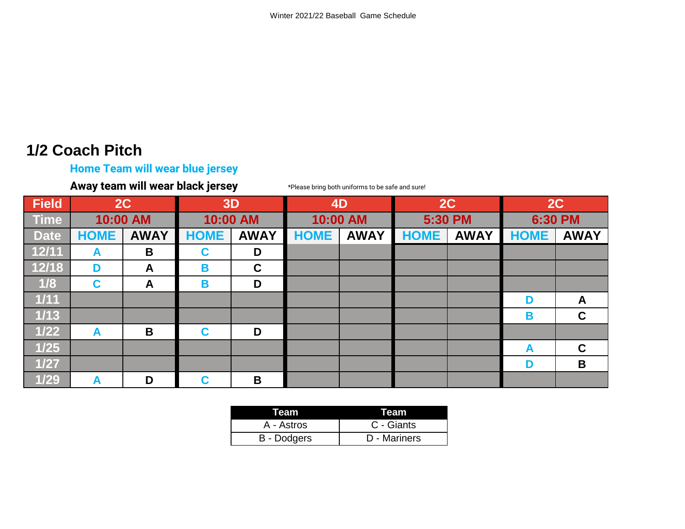# **1/2 Coach Pitch**

## **Home Team will wear blue jersey**

**Away team will wear black jersey**

\*Please bring both uniforms to be safe and sure!

| <b>Field</b> | 2C          |             | 3D          |             | 4D          |             | 2C          |             | 2C          |             |
|--------------|-------------|-------------|-------------|-------------|-------------|-------------|-------------|-------------|-------------|-------------|
| <b>Time</b>  | 10:00 AM    |             | 10:00 AM    |             | 10:00 AM    |             | 5:30 PM     |             | 6:30 PM     |             |
| <b>Date</b>  | <b>HOME</b> | <b>AWAY</b> | <b>HOME</b> | <b>AWAY</b> | <b>HOME</b> | <b>AWAY</b> | <b>HOME</b> | <b>AWAY</b> | <b>HOME</b> | <b>AWAY</b> |
| 12/11        | A           | B           | C           | D           |             |             |             |             |             |             |
| 12/18        | D           | A           | B           | $\mathbf C$ |             |             |             |             |             |             |
| 1/8          | C           | A           | B           | D           |             |             |             |             |             |             |
| $1/11$       |             |             |             |             |             |             |             |             | D           | A           |
| $1/13$       |             |             |             |             |             |             |             |             | B           | $\mathbf C$ |
| $1/22$       | A           | B           | C           | D           |             |             |             |             |             |             |
| $1/25$       |             |             |             |             |             |             |             |             | A           | $\mathbf C$ |
| $1/27$       |             |             |             |             |             |             |             |             | D           | B           |
| 1/29         | A           | D           | C           | B           |             |             |             |             |             |             |

| Team               | Team         |  |  |  |
|--------------------|--------------|--|--|--|
| A - Astros         | C - Giants   |  |  |  |
| <b>B</b> - Dodgers | D - Mariners |  |  |  |